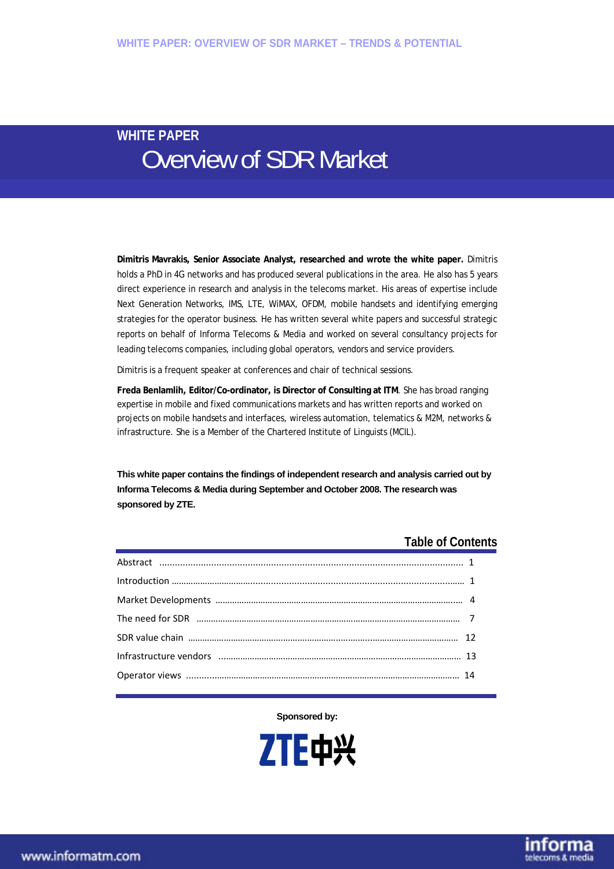# **WHITE PAPER**  Overview of SDR Market

**Dimitris Mavrakis, Senior Associate Analyst, researched and wrote the white paper.** Dimitris holds a PhD in 4G networks and has produced several publications in the area. He also has 5 years direct experience in research and analysis in the telecoms market. His areas of expertise include Next Generation Networks, IMS, LTE, WiMAX, OFDM, mobile handsets and identifying emerging strategies for the operator business. He has written several white papers and successful strategic reports on behalf of Informa Telecoms & Media and worked on several consultancy projects for leading telecoms companies, including global operators, vendors and service providers.

Dimitris is a frequent speaker at conferences and chair of technical sessions.

**Freda Benlamlih, Editor/Co-ordinator, is Director of Consulting at ITM**. She has broad ranging expertise in mobile and fixed communications markets and has written reports and worked on projects on mobile handsets and interfaces, wireless automation, telematics & M2M, networks & infrastructure. She is a Member of the Chartered Institute of Linguists (MCIL).

**This white paper contains the findings of independent research and analysis carried out by Informa Telecoms & Media during September and October 2008. The research was sponsored by ZTE.** 

### **Table of Contents**

telecoms & med

**Sponsored by:** 

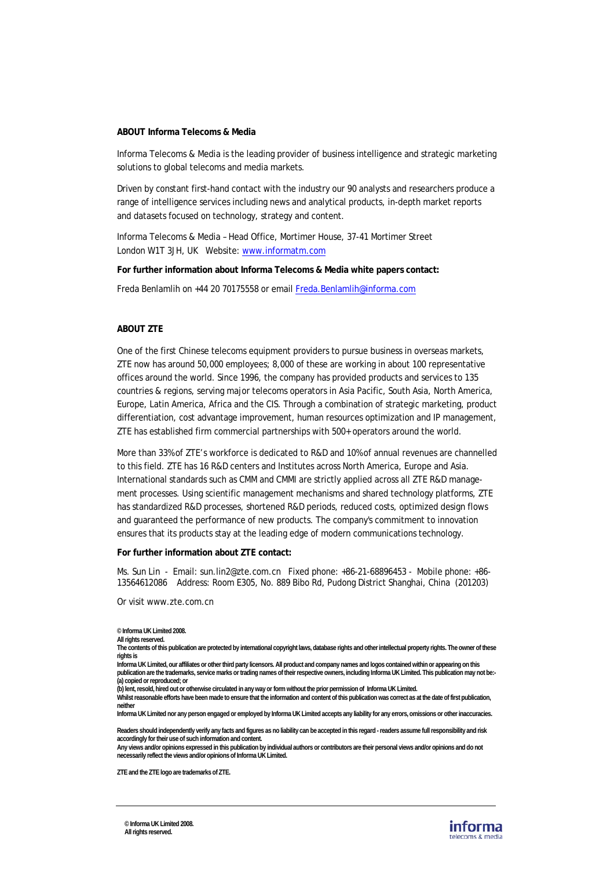#### **ABOUT Informa Telecoms & Media**

Informa Telecoms & Media is the leading provider of business intelligence and strategic marketing solutions to global telecoms and media markets.

Driven by constant first-hand contact with the industry our 90 analysts and researchers produce a range of intelligence services including news and analytical products, in-depth market reports and datasets focused on technology, strategy and content.

Informa Telecoms & Media – Head Office, Mortimer House, 37-41 Mortimer Street London W1T 3JH, UK Website: www.informatm.com

**For further information about Informa Telecoms & Media white papers contact:** 

Freda Benlamlih on +44 20 70175558 or email Freda.Benlamlih@informa.com

#### **ABOUT ZTE**

One of the first Chinese telecoms equipment providers to pursue business in overseas markets, ZTE now has around 50,000 employees; 8,000 of these are working in about 100 representative offices around the world. Since 1996, the company has provided products and services to 135 countries & regions, serving major telecoms operators in Asia Pacific, South Asia, North America, Europe, Latin America, Africa and the CIS. Through a combination of strategic marketing, product differentiation, cost advantage improvement, human resources optimization and IP management, ZTE has established firm commercial partnerships with 500+ operators around the world.

More than 33% of ZTE's workforce is dedicated to R&D and 10% of annual revenues are channelled to this field. ZTE has 16 R&D centers and Institutes across North America, Europe and Asia. International standards such as CMM and CMMI are strictly applied across all ZTE R&D management processes. Using scientific management mechanisms and shared technology platforms, ZTE has standardized R&D processes, shortened R&D periods, reduced costs, optimized design flows and guaranteed the performance of new products. The company's commitment to innovation ensures that its products stay at the leading edge of modern communications technology.

#### **For further information about ZTE contact:**

Ms. Sun Lin - Email: sun.lin2@zte.com.cn Fixed phone: +86-21-68896453 - Mobile phone: +86- 13564612086 Address: Room E305, No. 889 Bibo Rd, Pudong District Shanghai, China (201203)

Or visit www.zte.com.cn

**The contents of this publication are protected by international copyright laws, database rights and other intellectual property rights. The owner of these rights is** 

**Informa UK Limited, our affiliates or other third party licensors. All product and company names and logos contained within or appearing on this publication are the trademarks, service marks or trading names of their respective owners, including Informa UK Limited. This publication may not be:- (a) copied or reproduced; or** 

**(b) lent, resold, hired out or otherwise circulated in any way or form without the prior permission of Informa UK Limited.** 

**Whilst reasonable efforts have been made to ensure that the information and content of this publication was correct as at the date of first publication, neither** 

**Informa UK Limited nor any person engaged or employed by Informa UK Limited accepts any liability for any errors, omissions or other inaccuracies.** 

**Readers should independently verify any facts and figures as no liability can be accepted in this regard - readers assume full responsibility and risk accordingly for their use of such information and content.** 

**Any views and/or opinions expressed in this publication by individual authors or contributors are their personal views and/or opinions and do not necessarily reflect the views and/or opinions of Informa UK Limited.** 

**ZTE and the ZTE logo are trademarks of ZTE.** 



**<sup>©</sup> Informa UK Limited 2008.** 

**All rights reserved.**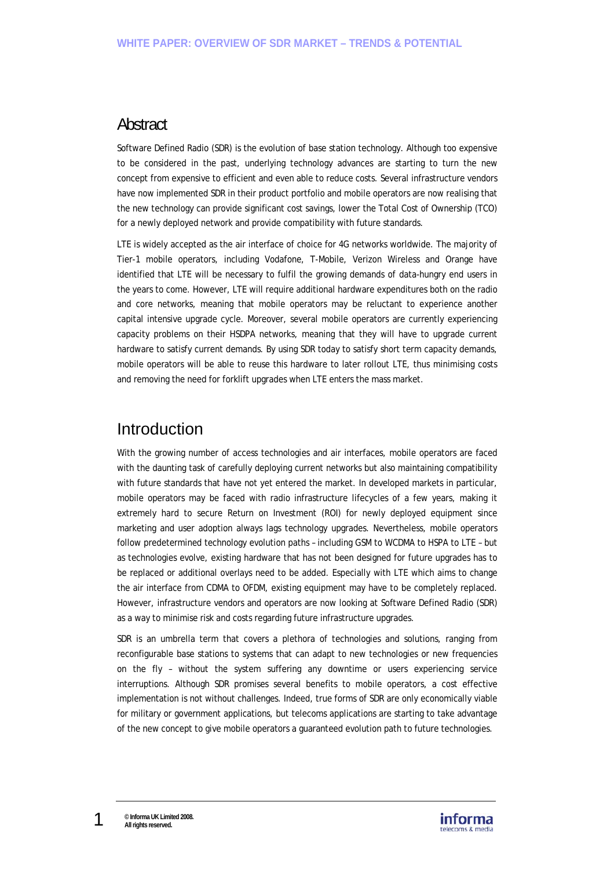## **Abstract**

Software Defined Radio (SDR) is the evolution of base station technology. Although too expensive to be considered in the past, underlying technology advances are starting to turn the new concept from expensive to efficient and even able to reduce costs. Several infrastructure vendors have now implemented SDR in their product portfolio and mobile operators are now realising that the new technology can provide significant cost savings, lower the Total Cost of Ownership (TCO) for a newly deployed network and provide compatibility with future standards.

LTE is widely accepted as the air interface of choice for 4G networks worldwide. The majority of Tier-1 mobile operators, including Vodafone, T-Mobile, Verizon Wireless and Orange have identified that LTE will be necessary to fulfil the growing demands of data-hungry end users in the years to come. However, LTE will require additional hardware expenditures both on the radio and core networks, meaning that mobile operators may be reluctant to experience another capital intensive upgrade cycle. Moreover, several mobile operators are currently experiencing capacity problems on their HSDPA networks, meaning that they will have to upgrade current hardware to satisfy current demands. By using SDR today to satisfy short term capacity demands, mobile operators will be able to reuse this hardware to later rollout LTE, thus minimising costs and removing the need for forklift upgrades when LTE enters the mass market.

## Introduction

With the growing number of access technologies and air interfaces, mobile operators are faced with the daunting task of carefully deploying current networks but also maintaining compatibility with future standards that have not yet entered the market. In developed markets in particular, mobile operators may be faced with radio infrastructure lifecycles of a few years, making it extremely hard to secure Return on Investment (ROI) for newly deployed equipment since marketing and user adoption always lags technology upgrades. Nevertheless, mobile operators follow predetermined technology evolution paths – including GSM to WCDMA to HSPA to LTE – but as technologies evolve, existing hardware that has not been designed for future upgrades has to be replaced or additional overlays need to be added. Especially with LTE which aims to change the air interface from CDMA to OFDM, existing equipment may have to be completely replaced. However, infrastructure vendors and operators are now looking at Software Defined Radio (SDR) as a way to minimise risk and costs regarding future infrastructure upgrades.

SDR is an umbrella term that covers a plethora of technologies and solutions, ranging from reconfigurable base stations to systems that can adapt to new technologies or new frequencies on the fly – without the system suffering any downtime or users experiencing service interruptions. Although SDR promises several benefits to mobile operators, a cost effective implementation is not without challenges. Indeed, true forms of SDR are only economically viable for military or government applications, but telecoms applications are starting to take advantage of the new concept to give mobile operators a guaranteed evolution path to future technologies.

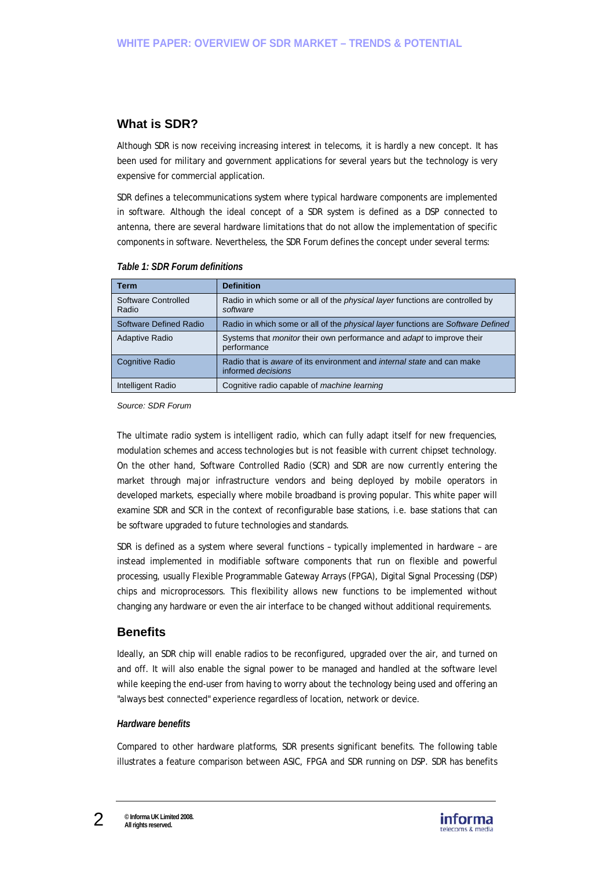## **What is SDR?**

Although SDR is now receiving increasing interest in telecoms, it is hardly a new concept. It has been used for military and government applications for several years but the technology is very expensive for commercial application.

SDR defines a telecommunications system where typical hardware components are implemented in software. Although the ideal concept of a SDR system is defined as a DSP connected to antenna, there are several hardware limitations that do not allow the implementation of specific components in software. Nevertheless, the SDR Forum defines the concept under several terms:

| Term                         | <b>Definition</b>                                                                                   |
|------------------------------|-----------------------------------------------------------------------------------------------------|
| Software Controlled<br>Radio | Radio in which some or all of the <i>physical layer</i> functions are controlled by<br>software     |
| Software Defined Radio       | Radio in which some or all of the <i>physical layer</i> functions are <i>Software Defined</i>       |
| Adaptive Radio               | Systems that <i>monitor</i> their own performance and <i>adapt</i> to improve their<br>performance  |
| Cognitive Radio              | Radio that is aware of its environment and internal state and can make<br>informed <i>decisions</i> |
| Intelligent Radio            | Cognitive radio capable of machine learning                                                         |

### *Table 1: SDR Forum definitions*

*Source: SDR Forum* 

The ultimate radio system is intelligent radio, which can fully adapt itself for new frequencies, modulation schemes and access technologies but is not feasible with current chipset technology. On the other hand, Software Controlled Radio (SCR) and SDR are now currently entering the market through major infrastructure vendors and being deployed by mobile operators in developed markets, especially where mobile broadband is proving popular. This white paper will examine SDR and SCR in the context of reconfigurable base stations, i.e. base stations that can be software upgraded to future technologies and standards.

SDR is defined as a system where several functions – typically implemented in hardware – are instead implemented in modifiable software components that run on flexible and powerful processing, usually Flexible Programmable Gateway Arrays (FPGA), Digital Signal Processing (DSP) chips and microprocessors. This flexibility allows new functions to be implemented without changing any hardware or even the air interface to be changed without additional requirements.

## **Benefits**

Ideally, an SDR chip will enable radios to be reconfigured, upgraded over the air, and turned on and off. It will also enable the signal power to be managed and handled at the software level while keeping the end-user from having to worry about the technology being used and offering an "always best connected" experience regardless of location, network or device.

### *Hardware benefits*

Compared to other hardware platforms, SDR presents significant benefits. The following table illustrates a feature comparison between ASIC, FPGA and SDR running on DSP. SDR has benefits

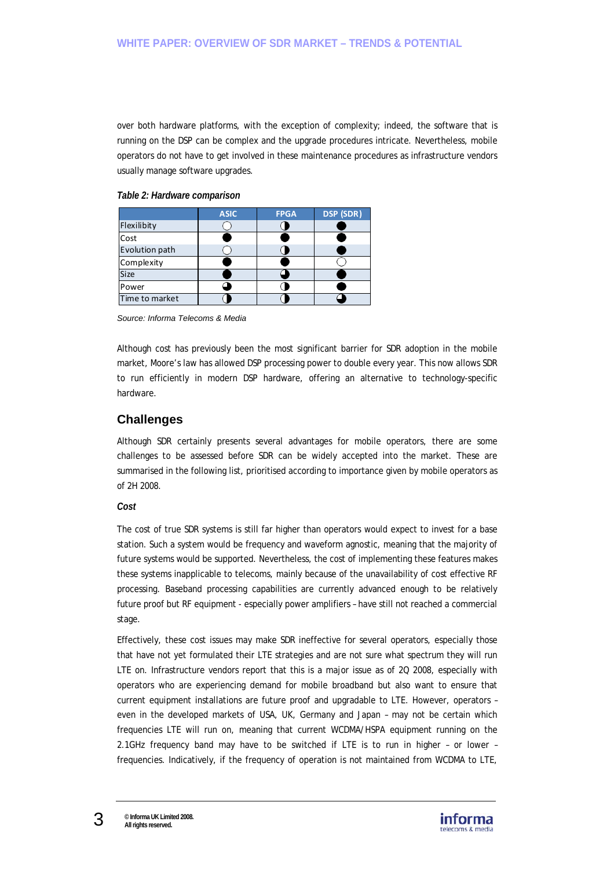over both hardware platforms, with the exception of complexity; indeed, the software that is running on the DSP can be complex and the upgrade procedures intricate. Nevertheless, mobile operators do not have to get involved in these maintenance procedures as infrastructure vendors usually manage software upgrades.

### *Table 2: Hardware comparison*

|                | <b>ASIC</b> | <b>FPGA</b> | DSP (SDR) |
|----------------|-------------|-------------|-----------|
| Flexilibity    |             |             |           |
| Cost           |             |             |           |
| Evolution path |             |             |           |
| Complexity     |             |             |           |
| <b>Size</b>    |             |             |           |
| Power          |             |             |           |
| Time to market |             |             |           |

*Source: Informa Telecoms & Media* 

Although cost has previously been the most significant barrier for SDR adoption in the mobile market, Moore's law has allowed DSP processing power to double every year. This now allows SDR to run efficiently in modern DSP hardware, offering an alternative to technology-specific hardware.

## **Challenges**

Although SDR certainly presents several advantages for mobile operators, there are some challenges to be assessed before SDR can be widely accepted into the market. These are summarised in the following list, prioritised according to importance given by mobile operators as of 2H 2008.

### *Cost*

The cost of true SDR systems is still far higher than operators would expect to invest for a base station. Such a system would be frequency and waveform agnostic, meaning that the majority of future systems would be supported. Nevertheless, the cost of implementing these features makes these systems inapplicable to telecoms, mainly because of the unavailability of cost effective RF processing. Baseband processing capabilities are currently advanced enough to be relatively future proof but RF equipment - especially power amplifiers – have still not reached a commercial stage.

Effectively, these cost issues may make SDR ineffective for several operators, especially those that have not yet formulated their LTE strategies and are not sure what spectrum they will run LTE on. Infrastructure vendors report that this is a major issue as of 2Q 2008, especially with operators who are experiencing demand for mobile broadband but also want to ensure that current equipment installations are future proof and upgradable to LTE. However, operators – even in the developed markets of USA, UK, Germany and Japan – may not be certain which frequencies LTE will run on, meaning that current WCDMA/HSPA equipment running on the 2.1GHz frequency band may have to be switched if LTE is to run in higher – or lower – frequencies. Indicatively, if the frequency of operation is not maintained from WCDMA to LTE,

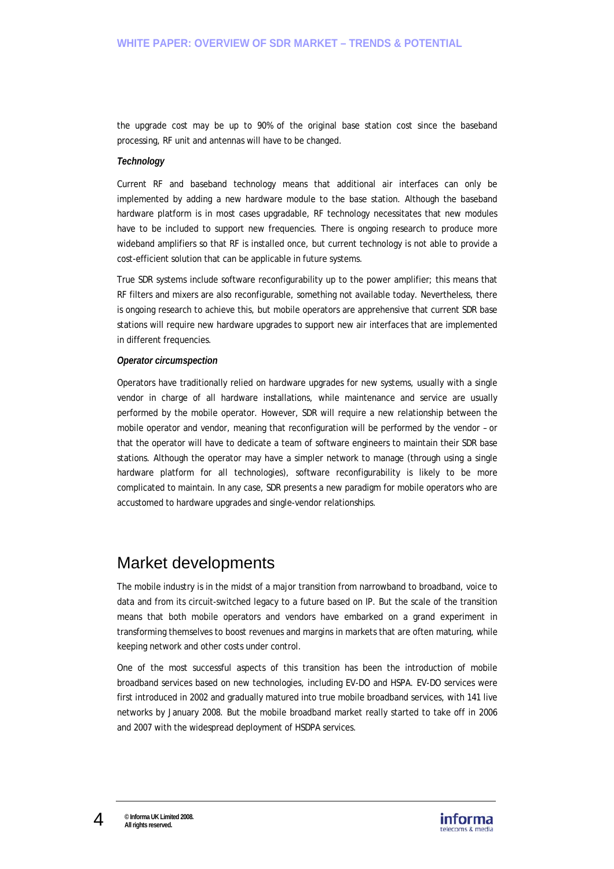the upgrade cost may be up to 90% of the original base station cost since the baseband processing, RF unit and antennas will have to be changed.

### *Technology*

Current RF and baseband technology means that additional air interfaces can only be implemented by adding a new hardware module to the base station. Although the baseband hardware platform is in most cases upgradable, RF technology necessitates that new modules have to be included to support new frequencies. There is ongoing research to produce more wideband amplifiers so that RF is installed once, but current technology is not able to provide a cost-efficient solution that can be applicable in future systems.

True SDR systems include software reconfigurability up to the power amplifier; this means that RF filters and mixers are also reconfigurable, something not available today. Nevertheless, there is ongoing research to achieve this, but mobile operators are apprehensive that current SDR base stations will require new hardware upgrades to support new air interfaces that are implemented in different frequencies.

### *Operator circumspection*

Operators have traditionally relied on hardware upgrades for new systems, usually with a single vendor in charge of all hardware installations, while maintenance and service are usually performed by the mobile operator. However, SDR will require a new relationship between the mobile operator and vendor, meaning that reconfiguration will be performed by the vendor – or that the operator will have to dedicate a team of software engineers to maintain their SDR base stations. Although the operator may have a simpler network to manage (through using a single hardware platform for all technologies), software reconfigurability is likely to be more complicated to maintain. In any case, SDR presents a new paradigm for mobile operators who are accustomed to hardware upgrades and single-vendor relationships.

## Market developments

The mobile industry is in the midst of a major transition from narrowband to broadband, voice to data and from its circuit-switched legacy to a future based on IP. But the scale of the transition means that both mobile operators and vendors have embarked on a grand experiment in transforming themselves to boost revenues and margins in markets that are often maturing, while keeping network and other costs under control.

One of the most successful aspects of this transition has been the introduction of mobile broadband services based on new technologies, including EV-DO and HSPA. EV-DO services were first introduced in 2002 and gradually matured into true mobile broadband services, with 141 live networks by January 2008. But the mobile broadband market really started to take off in 2006 and 2007 with the widespread deployment of HSDPA services.

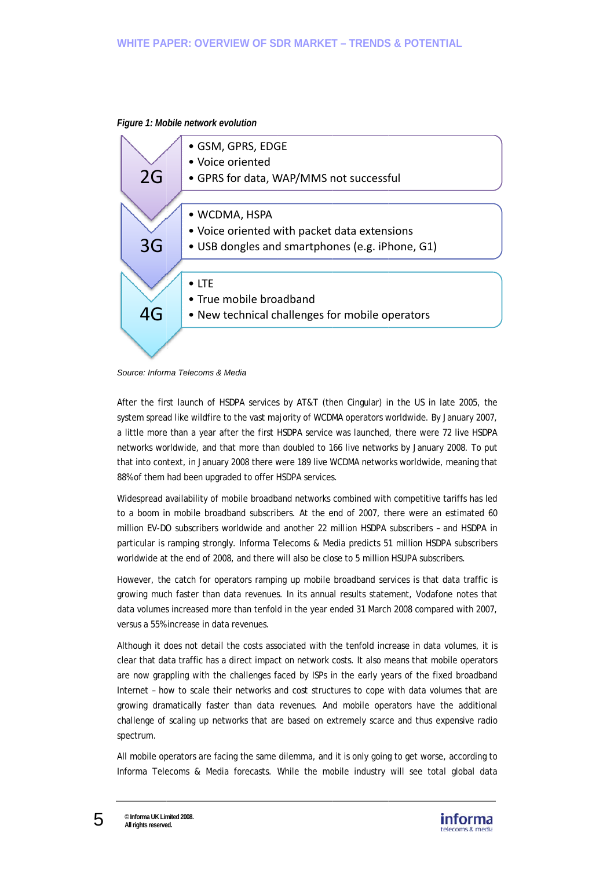

**Figure 1: Mobile network evolution** 



After the first launch of HSDPA services by AT&T (then Cingular) in the US in late 2005, the system spread like wildfire to the vast majority of WCDMA operators worldwide. By January 2007, a little more than a year after the first HSDPA service was launched, there were 72 live HSDPA networks worldwide, and that more than doubled to 166 live networks by January 2008. To put that into context, in January 2008 there were 189 live WCDMA networks worldwide, meaning that 88% of them had been upgraded to offer HSDPA services.

Widespread availability of mobile broadband networks combined with competitive tariffs has led to a boom in mobile broadband subscribers. At the end of 2007, there were an estimated 60 million EV-DO subscribers worldwide and another 22 million HSDPA subscribers - and HSDPA in particular is ramping strongly. Informa Telecoms & Media predicts 51 million HSDPA subscribers worldwide at the end of 2008, and there will also be close to 5 million HSUPA subscribers.

However, the catch for operators ramping up mobile broadband services is that data traffic is growing much faster than data revenues. In its annual results statement, Vodafone notes that data volumes increased more than tenfold in the year ended 31 March 2008 compared with 2007, versus a 55% increase in data revenues.

Although it does not detail the costs associated with the tenfold increase in data volumes, it is clear that data traffic has a direct impact on network costs. It also means that mobile operators are now grappling with the challenges faced by ISPs in the early years of the fixed broadband Internet - how to scale their networks and cost structures to cope with data volumes that are growing dramatically faster than data revenues. And mobile operators have the additional challenge of scaling up networks that are based on extremely scarce and thus expensive radio spectrum.

All mobile operators are facing the same dilemma, and it is only going to get worse, according to Informa Telecoms & Media forecasts. While the mobile industry will see total global data

5

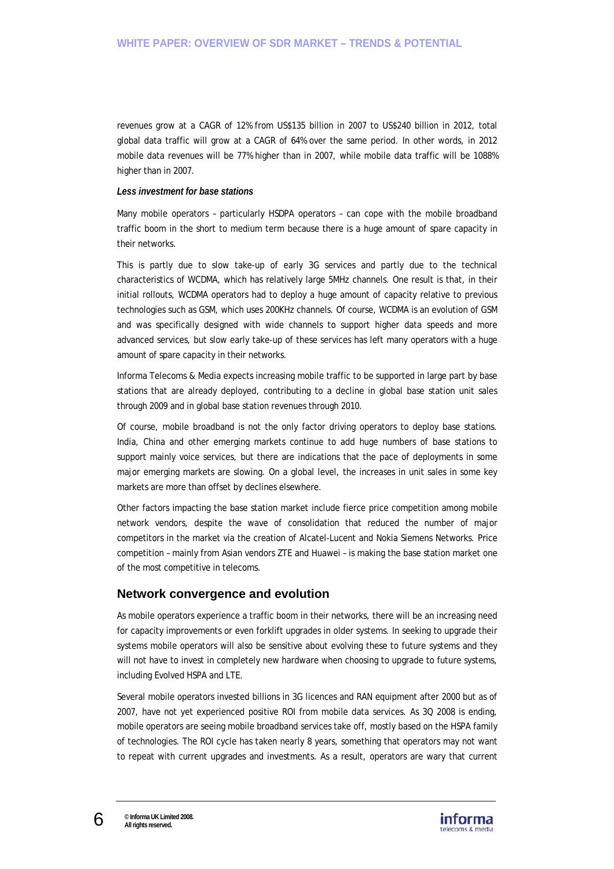revenues grow at a CAGR of 12% from US\$135 billion in 2007 to US\$240 billion in 2012, total global data traffic will grow at a CAGR of 64% over the same period. In other words, in 2012 mobile data revenues will be 77% higher than in 2007, while mobile data traffic will be 1088% higher than in 2007.

### *Less investment for base stations*

Many mobile operators – particularly HSDPA operators – can cope with the mobile broadband traffic boom in the short to medium term because there is a huge amount of spare capacity in their networks.

This is partly due to slow take-up of early 3G services and partly due to the technical characteristics of WCDMA, which has relatively large 5MHz channels. One result is that, in their initial rollouts, WCDMA operators had to deploy a huge amount of capacity relative to previous technologies such as GSM, which uses 200KHz channels. Of course, WCDMA is an evolution of GSM and was specifically designed with wide channels to support higher data speeds and more advanced services, but slow early take-up of these services has left many operators with a huge amount of spare capacity in their networks.

Informa Telecoms & Media expects increasing mobile traffic to be supported in large part by base stations that are already deployed, contributing to a decline in global base station unit sales through 2009 and in global base station revenues through 2010.

Of course, mobile broadband is not the only factor driving operators to deploy base stations. India, China and other emerging markets continue to add huge numbers of base stations to support mainly voice services, but there are indications that the pace of deployments in some major emerging markets are slowing. On a global level, the increases in unit sales in some key markets are more than offset by declines elsewhere.

Other factors impacting the base station market include fierce price competition among mobile network vendors, despite the wave of consolidation that reduced the number of major competitors in the market via the creation of Alcatel-Lucent and Nokia Siemens Networks. Price competition – mainly from Asian vendors ZTE and Huawei – is making the base station market one of the most competitive in telecoms.

## **Network convergence and evolution**

As mobile operators experience a traffic boom in their networks, there will be an increasing need for capacity improvements or even forklift upgrades in older systems. In seeking to upgrade their systems mobile operators will also be sensitive about evolving these to future systems and they will not have to invest in completely new hardware when choosing to upgrade to future systems, including Evolved HSPA and LTE.

Several mobile operators invested billions in 3G licences and RAN equipment after 2000 but as of 2007, have not yet experienced positive ROI from mobile data services. As 3Q 2008 is ending, mobile operators are seeing mobile broadband services take off, mostly based on the HSPA family of technologies. The ROI cycle has taken nearly 8 years, something that operators may not want to repeat with current upgrades and investments. As a result, operators are wary that current

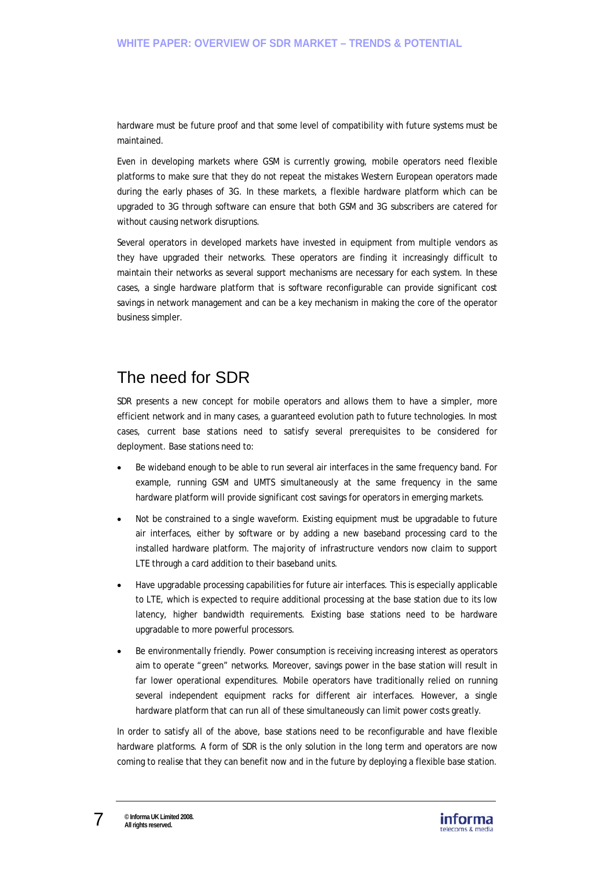hardware must be future proof and that some level of compatibility with future systems must be maintained.

Even in developing markets where GSM is currently growing, mobile operators need flexible platforms to make sure that they do not repeat the mistakes Western European operators made during the early phases of 3G. In these markets, a flexible hardware platform which can be upgraded to 3G through software can ensure that both GSM and 3G subscribers are catered for without causing network disruptions.

Several operators in developed markets have invested in equipment from multiple vendors as they have upgraded their networks. These operators are finding it increasingly difficult to maintain their networks as several support mechanisms are necessary for each system. In these cases, a single hardware platform that is software reconfigurable can provide significant cost savings in network management and can be a key mechanism in making the core of the operator business simpler.

# The need for SDR

SDR presents a new concept for mobile operators and allows them to have a simpler, more efficient network and in many cases, a guaranteed evolution path to future technologies. In most cases, current base stations need to satisfy several prerequisites to be considered for deployment. Base stations need to:

- Be wideband enough to be able to run several air interfaces in the same frequency band. For example, running GSM and UMTS simultaneously at the same frequency in the same hardware platform will provide significant cost savings for operators in emerging markets.
- Not be constrained to a single waveform. Existing equipment must be upgradable to future air interfaces, either by software or by adding a new baseband processing card to the installed hardware platform. The majority of infrastructure vendors now claim to support LTE through a card addition to their baseband units.
- Have upgradable processing capabilities for future air interfaces. This is especially applicable to LTE, which is expected to require additional processing at the base station due to its low latency, higher bandwidth requirements. Existing base stations need to be hardware upgradable to more powerful processors.
- Be environmentally friendly. Power consumption is receiving increasing interest as operators aim to operate "green" networks. Moreover, savings power in the base station will result in far lower operational expenditures. Mobile operators have traditionally relied on running several independent equipment racks for different air interfaces. However, a single hardware platform that can run all of these simultaneously can limit power costs greatly.

In order to satisfy all of the above, base stations need to be reconfigurable and have flexible hardware platforms. A form of SDR is the only solution in the long term and operators are now coming to realise that they can benefit now and in the future by deploying a flexible base station.

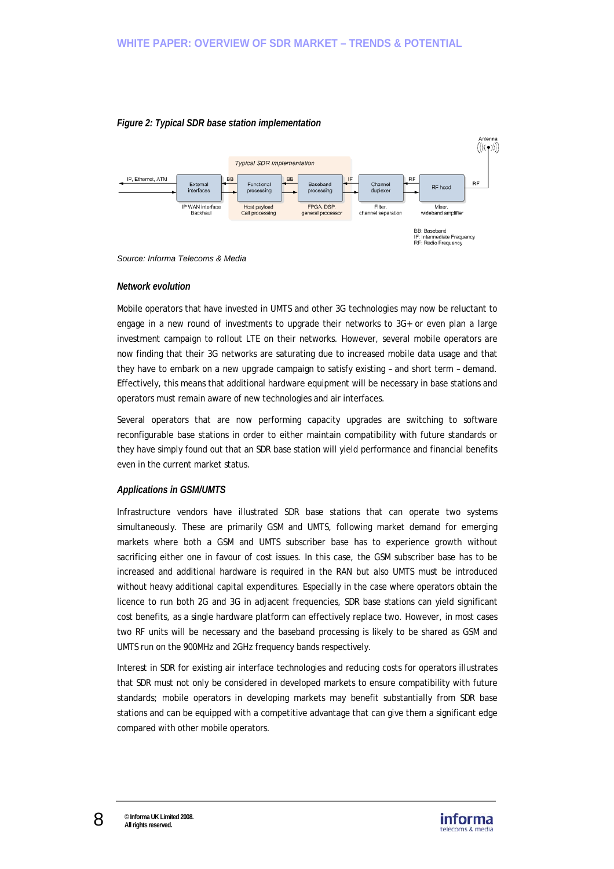

### *Figure 2: Typical SDR base station implementation*



### *Network evolution*

Mobile operators that have invested in UMTS and other 3G technologies may now be reluctant to engage in a new round of investments to upgrade their networks to 3G+ or even plan a large investment campaign to rollout LTE on their networks. However, several mobile operators are now finding that their 3G networks are saturating due to increased mobile data usage and that they have to embark on a new upgrade campaign to satisfy existing – and short term – demand. Effectively, this means that additional hardware equipment will be necessary in base stations and operators must remain aware of new technologies and air interfaces.

Several operators that are now performing capacity upgrades are switching to software reconfigurable base stations in order to either maintain compatibility with future standards or they have simply found out that an SDR base station will yield performance and financial benefits even in the current market status.

### *Applications in GSM/UMTS*

Infrastructure vendors have illustrated SDR base stations that can operate two systems simultaneously. These are primarily GSM and UMTS, following market demand for emerging markets where both a GSM and UMTS subscriber base has to experience growth without sacrificing either one in favour of cost issues. In this case, the GSM subscriber base has to be increased and additional hardware is required in the RAN but also UMTS must be introduced without heavy additional capital expenditures. Especially in the case where operators obtain the licence to run both 2G and 3G in adjacent frequencies, SDR base stations can yield significant cost benefits, as a single hardware platform can effectively replace two. However, in most cases two RF units will be necessary and the baseband processing is likely to be shared as GSM and UMTS run on the 900MHz and 2GHz frequency bands respectively.

Interest in SDR for existing air interface technologies and reducing costs for operators illustrates that SDR must not only be considered in developed markets to ensure compatibility with future standards; mobile operators in developing markets may benefit substantially from SDR base stations and can be equipped with a competitive advantage that can give them a significant edge compared with other mobile operators.

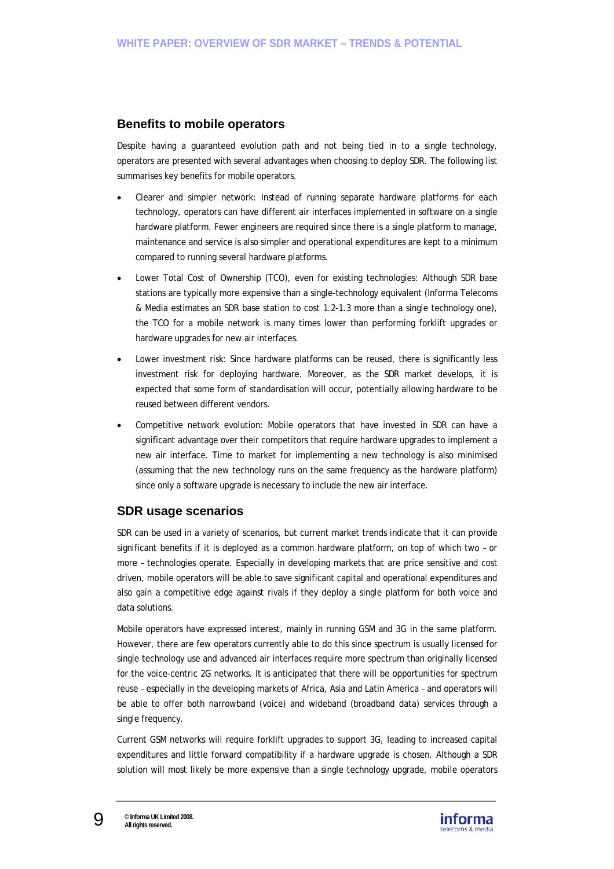## **Benefits to mobile operators**

Despite having a guaranteed evolution path and not being tied in to a single technology, operators are presented with several advantages when choosing to deploy SDR. The following list summarises key benefits for mobile operators.

- Clearer and simpler network: Instead of running separate hardware platforms for each technology, operators can have different air interfaces implemented in software on a single hardware platform. Fewer engineers are required since there is a single platform to manage, maintenance and service is also simpler and operational expenditures are kept to a minimum compared to running several hardware platforms.
- Lower Total Cost of Ownership (TCO), even for existing technologies: Although SDR base stations are typically more expensive than a single-technology equivalent (Informa Telecoms & Media estimates an SDR base station to cost 1.2-1.3 more than a single technology one), the TCO for a mobile network is many times lower than performing forklift upgrades or hardware upgrades for new air interfaces.
- Lower investment risk: Since hardware platforms can be reused, there is significantly less investment risk for deploying hardware. Moreover, as the SDR market develops, it is expected that some form of standardisation will occur, potentially allowing hardware to be reused between different vendors.
- Competitive network evolution: Mobile operators that have invested in SDR can have a significant advantage over their competitors that require hardware upgrades to implement a new air interface. Time to market for implementing a new technology is also minimised (assuming that the new technology runs on the same frequency as the hardware platform) since only a software upgrade is necessary to include the new air interface.

## **SDR usage scenarios**

SDR can be used in a variety of scenarios, but current market trends indicate that it can provide significant benefits if it is deployed as a common hardware platform, on top of which two – or more – technologies operate. Especially in developing markets that are price sensitive and cost driven, mobile operators will be able to save significant capital and operational expenditures and also gain a competitive edge against rivals if they deploy a single platform for both voice and data solutions.

Mobile operators have expressed interest, mainly in running GSM and 3G in the same platform. However, there are few operators currently able to do this since spectrum is usually licensed for single technology use and advanced air interfaces require more spectrum than originally licensed for the voice-centric 2G networks. It is anticipated that there will be opportunities for spectrum reuse – especially in the developing markets of Africa, Asia and Latin America – and operators will be able to offer both narrowband (voice) and wideband (broadband data) services through a single frequency.

Current GSM networks will require forklift upgrades to support 3G, leading to increased capital expenditures and little forward compatibility if a hardware upgrade is chosen. Although a SDR solution will most likely be more expensive than a single technology upgrade, mobile operators

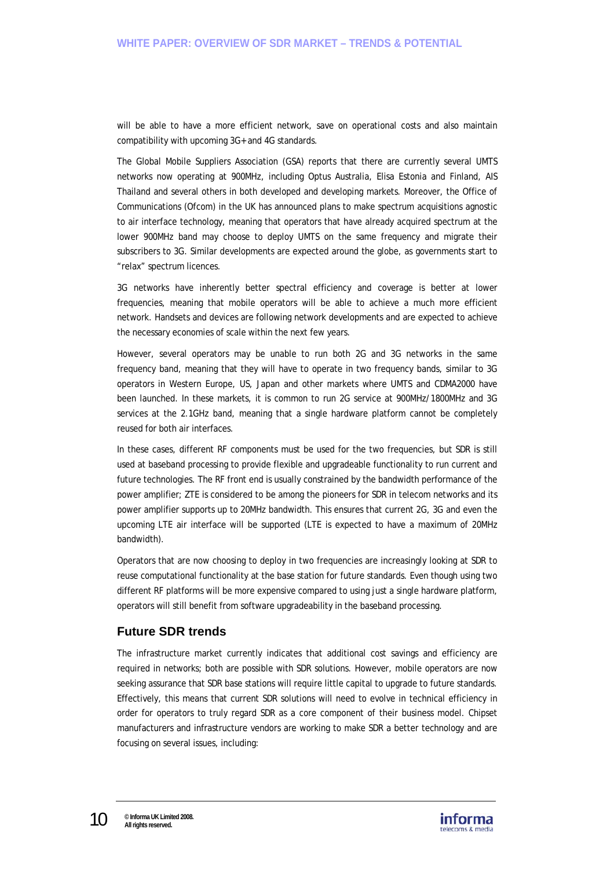will be able to have a more efficient network, save on operational costs and also maintain compatibility with upcoming 3G+ and 4G standards.

The Global Mobile Suppliers Association (GSA) reports that there are currently several UMTS networks now operating at 900MHz, including Optus Australia, Elisa Estonia and Finland, AIS Thailand and several others in both developed and developing markets. Moreover, the Office of Communications (Ofcom) in the UK has announced plans to make spectrum acquisitions agnostic to air interface technology, meaning that operators that have already acquired spectrum at the lower 900MHz band may choose to deploy UMTS on the same frequency and migrate their subscribers to 3G. Similar developments are expected around the globe, as governments start to "relax" spectrum licences.

3G networks have inherently better spectral efficiency and coverage is better at lower frequencies, meaning that mobile operators will be able to achieve a much more efficient network. Handsets and devices are following network developments and are expected to achieve the necessary economies of scale within the next few years.

However, several operators may be unable to run both 2G and 3G networks in the same frequency band, meaning that they will have to operate in two frequency bands, similar to 3G operators in Western Europe, US, Japan and other markets where UMTS and CDMA2000 have been launched. In these markets, it is common to run 2G service at 900MHz/1800MHz and 3G services at the 2.1GHz band, meaning that a single hardware platform cannot be completely reused for both air interfaces.

In these cases, different RF components must be used for the two frequencies, but SDR is still used at baseband processing to provide flexible and upgradeable functionality to run current and future technologies. The RF front end is usually constrained by the bandwidth performance of the power amplifier; ZTE is considered to be among the pioneers for SDR in telecom networks and its power amplifier supports up to 20MHz bandwidth. This ensures that current 2G, 3G and even the upcoming LTE air interface will be supported (LTE is expected to have a maximum of 20MHz bandwidth).

Operators that are now choosing to deploy in two frequencies are increasingly looking at SDR to reuse computational functionality at the base station for future standards. Even though using two different RF platforms will be more expensive compared to using just a single hardware platform, operators will still benefit from software upgradeability in the baseband processing.

## **Future SDR trends**

The infrastructure market currently indicates that additional cost savings and efficiency are required in networks; both are possible with SDR solutions. However, mobile operators are now seeking assurance that SDR base stations will require little capital to upgrade to future standards. Effectively, this means that current SDR solutions will need to evolve in technical efficiency in order for operators to truly regard SDR as a core component of their business model. Chipset manufacturers and infrastructure vendors are working to make SDR a better technology and are focusing on several issues, including:

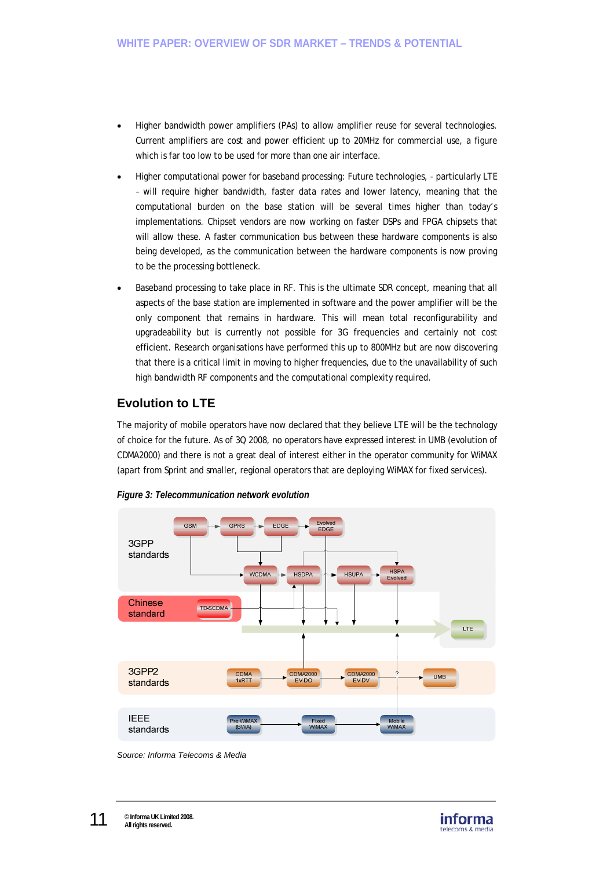- Higher bandwidth power amplifiers (PAs) to allow amplifier reuse for several technologies. Current amplifiers are cost and power efficient up to 20MHz for commercial use, a figure which is far too low to be used for more than one air interface.
- Higher computational power for baseband processing: Future technologies, particularly LTE – will require higher bandwidth, faster data rates and lower latency, meaning that the computational burden on the base station will be several times higher than today's implementations. Chipset vendors are now working on faster DSPs and FPGA chipsets that will allow these. A faster communication bus between these hardware components is also being developed, as the communication between the hardware components is now proving to be the processing bottleneck.
- Baseband processing to take place in RF. This is the ultimate SDR concept, meaning that all aspects of the base station are implemented in software and the power amplifier will be the only component that remains in hardware. This will mean total reconfigurability and upgradeability but is currently not possible for 3G frequencies and certainly not cost efficient. Research organisations have performed this up to 800MHz but are now discovering that there is a critical limit in moving to higher frequencies, due to the unavailability of such high bandwidth RF components and the computational complexity required.

## **Evolution to LTE**

The majority of mobile operators have now declared that they believe LTE will be the technology of choice for the future. As of 3Q 2008, no operators have expressed interest in UMB (evolution of CDMA2000) and there is not a great deal of interest either in the operator community for WiMAX (apart from Sprint and smaller, regional operators that are deploying WiMAX for fixed services).



*Figure 3: Telecommunication network evolution* 

*Source: Informa Telecoms & Media* 

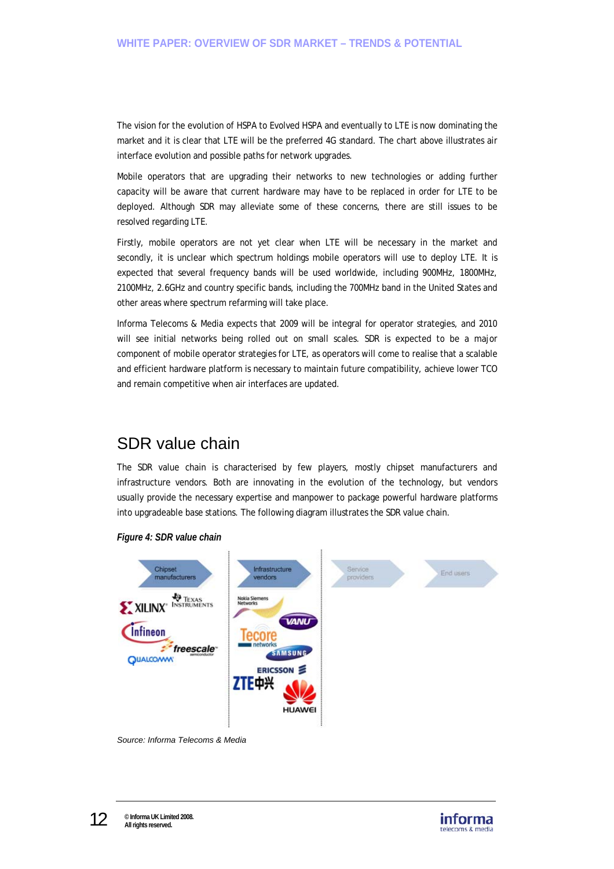The vision for the evolution of HSPA to Evolved HSPA and eventually to LTE is now dominating the market and it is clear that LTE will be the preferred 4G standard. The chart above illustrates air interface evolution and possible paths for network upgrades.

Mobile operators that are upgrading their networks to new technologies or adding further capacity will be aware that current hardware may have to be replaced in order for LTE to be deployed. Although SDR may alleviate some of these concerns, there are still issues to be resolved regarding LTE.

Firstly, mobile operators are not yet clear when LTE will be necessary in the market and secondly, it is unclear which spectrum holdings mobile operators will use to deploy LTE. It is expected that several frequency bands will be used worldwide, including 900MHz, 1800MHz, 2100MHz, 2.6GHz and country specific bands, including the 700MHz band in the United States and other areas where spectrum refarming will take place.

Informa Telecoms & Media expects that 2009 will be integral for operator strategies, and 2010 will see initial networks being rolled out on small scales. SDR is expected to be a major component of mobile operator strategies for LTE, as operators will come to realise that a scalable and efficient hardware platform is necessary to maintain future compatibility, achieve lower TCO and remain competitive when air interfaces are updated.

# SDR value chain

The SDR value chain is characterised by few players, mostly chipset manufacturers and infrastructure vendors. Both are innovating in the evolution of the technology, but vendors usually provide the necessary expertise and manpower to package powerful hardware platforms into upgradeable base stations. The following diagram illustrates the SDR value chain.





*Source: Informa Telecoms & Media* 

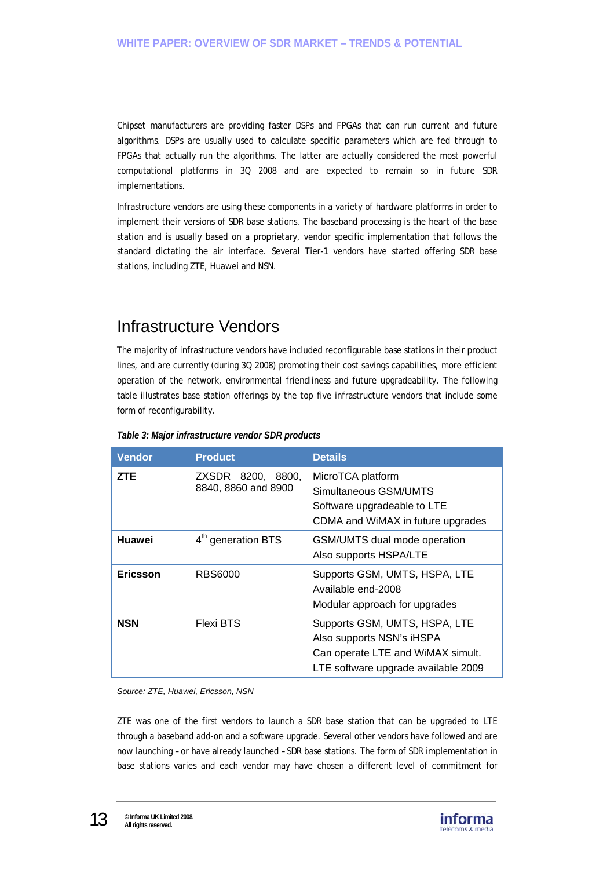Chipset manufacturers are providing faster DSPs and FPGAs that can run current and future algorithms. DSPs are usually used to calculate specific parameters which are fed through to FPGAs that actually run the algorithms. The latter are actually considered the most powerful computational platforms in 3Q 2008 and are expected to remain so in future SDR implementations.

Infrastructure vendors are using these components in a variety of hardware platforms in order to implement their versions of SDR base stations. The baseband processing is the heart of the base station and is usually based on a proprietary, vendor specific implementation that follows the standard dictating the air interface. Several Tier-1 vendors have started offering SDR base stations, including ZTE, Huawei and NSN.

# Infrastructure Vendors

The majority of infrastructure vendors have included reconfigurable base stations in their product lines, and are currently (during 3Q 2008) promoting their cost savings capabilities, more efficient operation of the network, environmental friendliness and future upgradeability. The following table illustrates base station offerings by the top five infrastructure vendors that include some form of reconfigurability.

| <b>Vendor</b>   | <b>Product</b>                              | <b>Details</b>                                                                                                                         |
|-----------------|---------------------------------------------|----------------------------------------------------------------------------------------------------------------------------------------|
| <b>ZTE</b>      | ZXSDR 8200,<br>8800.<br>8840, 8860 and 8900 | MicroTCA platform<br>Simultaneous GSM/UMTS<br>Software upgradeable to LTE<br>CDMA and WiMAX in future upgrades                         |
| Huawei          | 4 <sup>th</sup> generation BTS              | GSM/UMTS dual mode operation<br>Also supports HSPA/LTE                                                                                 |
| <b>Ericsson</b> | <b>RBS6000</b>                              | Supports GSM, UMTS, HSPA, LTE<br>Available end-2008<br>Modular approach for upgrades                                                   |
| <b>NSN</b>      | <b>Flexi BTS</b>                            | Supports GSM, UMTS, HSPA, LTE<br>Also supports NSN's iHSPA<br>Can operate LTE and WiMAX simult.<br>LTE software upgrade available 2009 |

*Table 3: Major infrastructure vendor SDR products* 

*Source: ZTE, Huawei, Ericsson, NSN* 

ZTE was one of the first vendors to launch a SDR base station that can be upgraded to LTE through a baseband add-on and a software upgrade. Several other vendors have followed and are now launching – or have already launched – SDR base stations. The form of SDR implementation in base stations varies and each vendor may have chosen a different level of commitment for